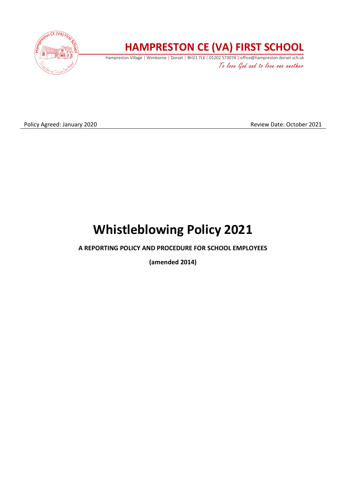

## **HAMPRESTON CE (VA) FIRST SCHOOL**

Hampreston Village | Wimborne | Dorset | BH21 7LX | 01202 573074 | office@hampreston.dorset.sch.uk To love God and to love one another

Policy Agreed: January 2020 **Review Date: October 2021** Review Date: October 2021

# **Whistleblowing Policy 2021**

### **A REPORTING POLICY AND PROCEDURE FOR SCHOOL EMPLOYEES**

**(amended 2014)**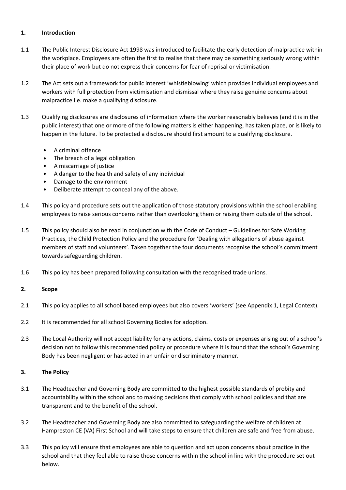#### **1. Introduction**

- 1.1 The Public Interest Disclosure Act 1998 was introduced to facilitate the early detection of malpractice within the workplace. Employees are often the first to realise that there may be something seriously wrong within their place of work but do not express their concerns for fear of reprisal or victimisation.
- 1.2 The Act sets out a framework for public interest 'whistleblowing' which provides individual employees and workers with full protection from victimisation and dismissal where they raise genuine concerns about malpractice i.e. make a qualifying disclosure.
- 1.3 Qualifying disclosures are disclosures of information where the worker reasonably believes (and it is in the public interest) that one or more of the following matters is either happening, has taken place, or is likely to happen in the future. To be protected a disclosure should first amount to a qualifying disclosure.
	- A criminal offence
	- The breach of a legal obligation
	- A miscarriage of justice
	- A danger to the health and safety of any individual
	- Damage to the environment
	- Deliberate attempt to conceal any of the above.
- 1.4 This policy and procedure sets out the application of those statutory provisions within the school enabling employees to raise serious concerns rather than overlooking them or raising them outside of the school.
- 1.5 This policy should also be read in conjunction with the Code of Conduct Guidelines for Safe Working Practices, the Child Protection Policy and the procedure for 'Dealing with allegations of abuse against members of staff and volunteers'. Taken together the four documents recognise the school's commitment towards safeguarding children.
- 1.6 This policy has been prepared following consultation with the recognised trade unions.

#### **2. Scope**

- 2.1 This policy applies to all school based employees but also covers 'workers' (see Appendix 1, Legal Context).
- 2.2 It is recommended for all school Governing Bodies for adoption.
- 2.3 The Local Authority will not accept liability for any actions, claims, costs or expenses arising out of a school's decision not to follow this recommended policy or procedure where it is found that the school's Governing Body has been negligent or has acted in an unfair or discriminatory manner.

#### **3. The Policy**

- 3.1 The Headteacher and Governing Body are committed to the highest possible standards of probity and accountability within the school and to making decisions that comply with school policies and that are transparent and to the benefit of the school.
- 3.2 The Headteacher and Governing Body are also committed to safeguarding the welfare of children at Hampreston CE (VA) First School and will take steps to ensure that children are safe and free from abuse.
- 3.3 This policy will ensure that employees are able to question and act upon concerns about practice in the school and that they feel able to raise those concerns within the school in line with the procedure set out below.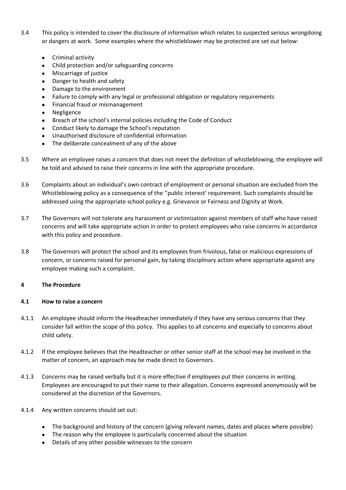- 3.4 This policy is intended to cover the disclosure of information which relates to suspected serious wrongdoing or dangers at work. Some examples where the whistleblower may be protected are set out below:
	- Criminal activity
	- Child protection and/or safeguarding concerns
	- Miscarriage of justice
	- Danger to health and safety
	- Damage to the environment
	- Failure to comply with any legal or professional obligation or regulatory requirements
	- Financial fraud or mismanagement
	- **Negligence**
	- Breach of the school's internal policies including the Code of Conduct
	- Conduct likely to damage the School's reputation
	- Unauthorised disclosure of confidential information
	- The deliberate concealment of any of the above
- 3.5 Where an employee raises a concern that does not meet the definition of whistleblowing, the employee will be told and advised to raise their concerns in line with the appropriate procedure.
- 3.6 Complaints about an individual's own contract of employment or personal situation are excluded from the Whistleblowing policy as a consequence of the ''public interest' requirement. Such complaints should be addressed using the appropriate school policy e.g. Grievance or Fairness and Dignity at Work.
- 3.7 The Governors will not tolerate any harassment or victimisation against members of staff who have raised concerns and will take appropriate action in order to protect employees who raise concerns in accordance with this policy and procedure.
- 3.8 The Governors will protect the school and its employees from frivolous, false or malicious expressions of concern, or concerns raised for personal gain, by taking disciplinary action where appropriate against any employee making such a complaint.

#### **4 The Procedure**

#### **4.1 How to raise a concern**

- 4.1.1 An employee should inform the Headteacher immediately if they have any serious concerns that they consider fall within the scope of this policy. This applies to all concerns and especially to concerns about child safety.
- 4.1.2 If the employee believes that the Headteacher or other senior staff at the school may be involved in the matter of concern, an approach may be made direct to Governors.
- 4.1.3 Concerns may be raised verbally but it is more effective if employees put their concerns in writing. Employees are encouraged to put their name to their allegation. Concerns expressed anonymously will be considered at the discretion of the Governors.
- 4.1.4 Any written concerns should set out:
	- The background and history of the concern (giving relevant names, dates and places where possible)
	- The reason why the employee is particularly concerned about the situation
	- Details of any other possible witnesses to the concern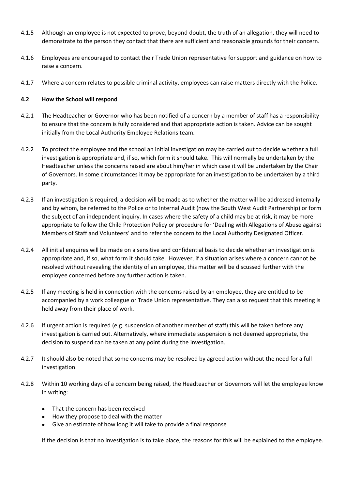- 4.1.5 Although an employee is not expected to prove, beyond doubt, the truth of an allegation, they will need to demonstrate to the person they contact that there are sufficient and reasonable grounds for their concern.
- 4.1.6 Employees are encouraged to contact their Trade Union representative for support and guidance on how to raise a concern.
- 4.1.7 Where a concern relates to possible criminal activity, employees can raise matters directly with the Police.

#### **4.2 How the School will respond**

- 4.2.1 The Headteacher or Governor who has been notified of a concern by a member of staff has a responsibility to ensure that the concern is fully considered and that appropriate action is taken. Advice can be sought initially from the Local Authority Employee Relations team.
- 4.2.2 To protect the employee and the school an initial investigation may be carried out to decide whether a full investigation is appropriate and, if so, which form it should take. This will normally be undertaken by the Headteacher unless the concerns raised are about him/her in which case it will be undertaken by the Chair of Governors. In some circumstances it may be appropriate for an investigation to be undertaken by a third party.
- 4.2.3 If an investigation is required, a decision will be made as to whether the matter will be addressed internally and by whom, be referred to the Police or to Internal Audit (now the South West Audit Partnership) or form the subject of an independent inquiry. In cases where the safety of a child may be at risk, it may be more appropriate to follow the Child Protection Policy or procedure for 'Dealing with Allegations of Abuse against Members of Staff and Volunteers' and to refer the concern to the Local Authority Designated Officer.
- 4.2.4 All initial enquires will be made on a sensitive and confidential basis to decide whether an investigation is appropriate and, if so, what form it should take. However, if a situation arises where a concern cannot be resolved without revealing the identity of an employee, this matter will be discussed further with the employee concerned before any further action is taken.
- 4.2.5 If any meeting is held in connection with the concerns raised by an employee, they are entitled to be accompanied by a work colleague or Trade Union representative. They can also request that this meeting is held away from their place of work.
- 4.2.6 If urgent action is required (e.g. suspension of another member of staff) this will be taken before any investigation is carried out. Alternatively, where immediate suspension is not deemed appropriate, the decision to suspend can be taken at any point during the investigation.
- 4.2.7 It should also be noted that some concerns may be resolved by agreed action without the need for a full investigation.
- 4.2.8 Within 10 working days of a concern being raised, the Headteacher or Governors will let the employee know in writing:
	- That the concern has been received
	- How they propose to deal with the matter
	- Give an estimate of how long it will take to provide a final response

If the decision is that no investigation is to take place, the reasons for this will be explained to the employee.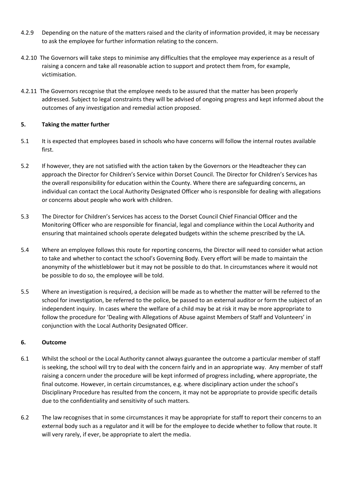- 4.2.9 Depending on the nature of the matters raised and the clarity of information provided, it may be necessary to ask the employee for further information relating to the concern.
- 4.2.10 The Governors will take steps to minimise any difficulties that the employee may experience as a result of raising a concern and take all reasonable action to support and protect them from, for example, victimisation.
- 4.2.11 The Governors recognise that the employee needs to be assured that the matter has been properly addressed. Subject to legal constraints they will be advised of ongoing progress and kept informed about the outcomes of any investigation and remedial action proposed.

#### **5. Taking the matter further**

- 5.1 It is expected that employees based in schools who have concerns will follow the internal routes available first.
- 5.2 If however, they are not satisfied with the action taken by the Governors or the Headteacher they can approach the Director for Children's Service within Dorset Council. The Director for Children's Services has the overall responsibility for education within the County. Where there are safeguarding concerns, an individual can contact the Local Authority Designated Officer who is responsible for dealing with allegations or concerns about people who work with children.
- 5.3 The Director for Children's Services has access to the Dorset Council Chief Financial Officer and the Monitoring Officer who are responsible for financial, legal and compliance within the Local Authority and ensuring that maintained schools operate delegated budgets within the scheme prescribed by the LA.
- 5.4 Where an employee follows this route for reporting concerns, the Director will need to consider what action to take and whether to contact the school's Governing Body. Every effort will be made to maintain the anonymity of the whistleblower but it may not be possible to do that. In circumstances where it would not be possible to do so, the employee will be told.
- 5.5 Where an investigation is required, a decision will be made as to whether the matter will be referred to the school for investigation, be referred to the police, be passed to an external auditor or form the subject of an independent inquiry. In cases where the welfare of a child may be at risk it may be more appropriate to follow the procedure for 'Dealing with Allegations of Abuse against Members of Staff and Volunteers' in conjunction with the Local Authority Designated Officer.

#### **6. Outcome**

- 6.1 Whilst the school or the Local Authority cannot always guarantee the outcome a particular member of staff is seeking, the school will try to deal with the concern fairly and in an appropriate way. Any member of staff raising a concern under the procedure will be kept informed of progress including, where appropriate, the final outcome. However, in certain circumstances, e.g. where disciplinary action under the school's Disciplinary Procedure has resulted from the concern, it may not be appropriate to provide specific details due to the confidentiality and sensitivity of such matters.
- 6.2 The law recognises that in some circumstances it may be appropriate for staff to report their concerns to an external body such as a regulator and it will be for the employee to decide whether to follow that route. It will very rarely, if ever, be appropriate to alert the media.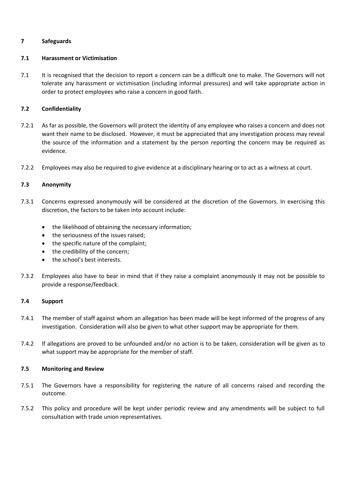#### **7 Safeguards**

#### **7.1 Harassment or Victimisation**

7.1 It is recognised that the decision to report a concern can be a difficult one to make. The Governors will not tolerate any harassment or victimisation (including informal pressures) and will take appropriate action in order to protect employees who raise a concern in good faith.

#### **7.2 Confidentiality**

- 7.2.1 As far as possible, the Governors will protect the identity of any employee who raises a concern and does not want their name to be disclosed. However, it must be appreciated that any investigation process may reveal the source of the information and a statement by the person reporting the concern may be required as evidence.
- 7.2.2 Employees may also be required to give evidence at a disciplinary hearing or to act as a witness at court.

#### **7.3 Anonymity**

- 7.3.1 Concerns expressed anonymously will be considered at the discretion of the Governors. In exercising this discretion, the factors to be taken into account include:
	- the likelihood of obtaining the necessary information;
	- the seriousness of the issues raised;
	- the specific nature of the complaint;
	- the credibility of the concern;
	- the school's best interests.
- 7.3.2 Employees also have to bear in mind that if they raise a complaint anonymously it may not be possible to provide a response/feedback.

#### **7.4 Support**

- 7.4.1 The member of staff against whom an allegation has been made will be kept informed of the progress of any investigation. Consideration will also be given to what other support may be appropriate for them.
- 7.4.2 If allegations are proved to be unfounded and/or no action is to be taken, consideration will be given as to what support may be appropriate for the member of staff.

#### **7.5 Monitoring and Review**

- 7.5.1 The Governors have a responsibility for registering the nature of all concerns raised and recording the outcome.
- 7.5.2 This policy and procedure will be kept under periodic review and any amendments will be subject to full consultation with trade union representatives.